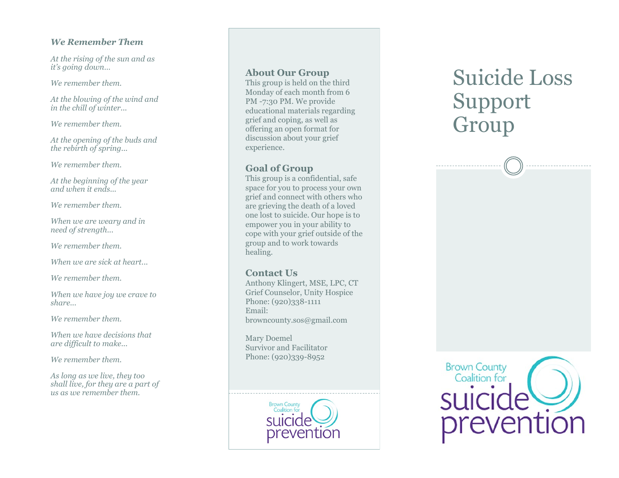### *We Remember Them*

*At the rising of the sun and as it 's going down …*

*We remember them.*

*At the blowing of the wind and in the chill of winter...*

*We remember them.*

*At the opening of the buds and the rebirth of spring...*

*We remember them.*

*At the beginning of the year and when it ends...*

*We remember them.*

*When we are weary and in need of strength...*

*We remember them.*

*When we are sick at heart...*

*We remember them.*

*When we have joy we crave to share...*

*We remember them.*

*When we have decisions that are difficult to make...*

*We remember them.*

*As long as we live, they too shall live, for they are a part of us as we remember them.*

### **About Our Group**

This group is held on the third Monday of each month from 6 PM -7:30 PM. We provide educational materials regarding grief and coping, as well as offering an open format for discussion about your grief experience.

### **Goal of Group**

This group is a confidential, safe space for you to process your own grief and connect with others who are grieving the death of a loved one lost to suicide. Our hope is to empower you in your ability to cope with your grief outside of the group and to work towards healing.

### **Contact Us**

Anthony Klingert, MSE, LPC, CT Grief Counselor, Unity Hospice Phone: (920)338-1111 Email: browncounty.sos@gmail.com

Mary Doemel Survivor and Facilitator Phone: (920)339 -8952



# Suicide Loss Support Group